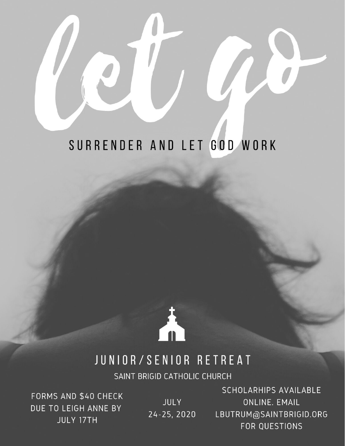## SURRENDER AND LET GOD WORK

Junior/Senior Retreat 2019



A weekend away just

## JUNIOR / SENIOR RETREAT

FORMS AND \$40 CHECK DUE TO LEIGH ANNE BY **JULY 17TH** 

**JULY** 24-25, 2020

Contact Leigh Anne Butrum for more information at lbutrum@saintbrigid.orgONLINE. EMAIL LBUTRUM@SAINTBRIGID.ORG FOR QUESTIONS